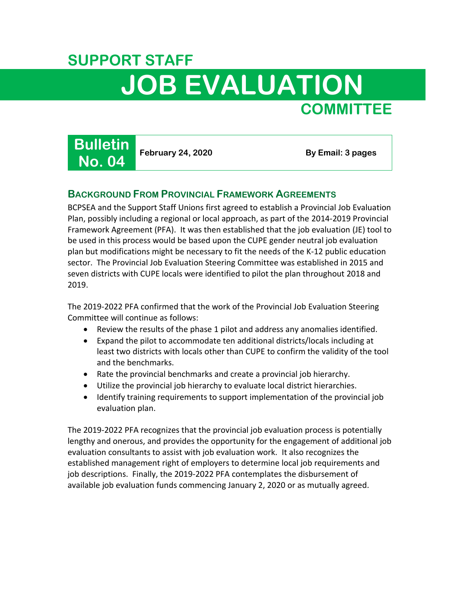# **SUPPORT STAFF JOB EVALUATION COMMITTEE**



## **BACKGROUND FROM PROVINCIAL FRAMEWORK AGREEMENTS**

BCPSEA and the Support Staff Unions first agreed to establish a Provincial Job Evaluation Plan, possibly including a regional or local approach, as part of the 2014-2019 Provincial Framework Agreement (PFA). It was then established that the job evaluation (JE) tool to be used in this process would be based upon the CUPE gender neutral job evaluation plan but modifications might be necessary to fit the needs of the K-12 public education sector. The Provincial Job Evaluation Steering Committee was established in 2015 and seven districts with CUPE locals were identified to pilot the plan throughout 2018 and 2019.

The 2019-2022 PFA confirmed that the work of the Provincial Job Evaluation Steering Committee will continue as follows:

- Review the results of the phase 1 pilot and address any anomalies identified.
- Expand the pilot to accommodate ten additional districts/locals including at least two districts with locals other than CUPE to confirm the validity of the tool and the benchmarks.
- Rate the provincial benchmarks and create a provincial job hierarchy.
- Utilize the provincial job hierarchy to evaluate local district hierarchies.
- Identify training requirements to support implementation of the provincial job evaluation plan.

The 2019-2022 PFA recognizes that the provincial job evaluation process is potentially lengthy and onerous, and provides the opportunity for the engagement of additional job evaluation consultants to assist with job evaluation work. It also recognizes the established management right of employers to determine local job requirements and job descriptions. Finally, the 2019-2022 PFA contemplates the disbursement of available job evaluation funds commencing January 2, 2020 or as mutually agreed.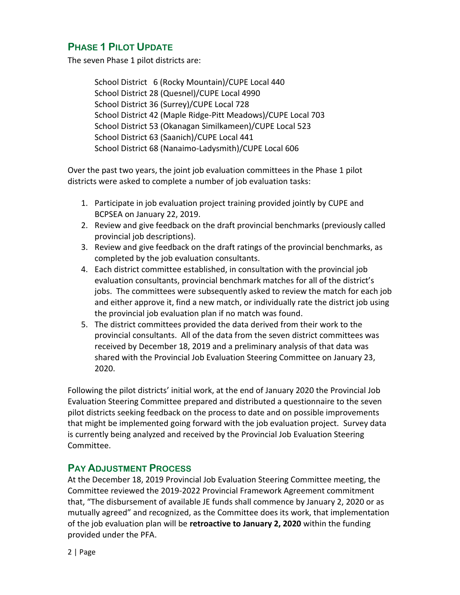## **PHASE 1 PILOT UPDATE**

The seven Phase 1 pilot districts are:

School District 6 (Rocky Mountain)/CUPE Local 440 School District 28 (Quesnel)/CUPE Local 4990 School District 36 (Surrey)/CUPE Local 728 School District 42 (Maple Ridge-Pitt Meadows)/CUPE Local 703 School District 53 (Okanagan Similkameen)/CUPE Local 523 School District 63 (Saanich)/CUPE Local 441 School District 68 (Nanaimo-Ladysmith)/CUPE Local 606

Over the past two years, the joint job evaluation committees in the Phase 1 pilot districts were asked to complete a number of job evaluation tasks:

- 1. Participate in job evaluation project training provided jointly by CUPE and BCPSEA on January 22, 2019.
- 2. Review and give feedback on the draft provincial benchmarks (previously called provincial job descriptions).
- 3. Review and give feedback on the draft ratings of the provincial benchmarks, as completed by the job evaluation consultants.
- 4. Each district committee established, in consultation with the provincial job evaluation consultants, provincial benchmark matches for all of the district's jobs. The committees were subsequently asked to review the match for each job and either approve it, find a new match, or individually rate the district job using the provincial job evaluation plan if no match was found.
- 5. The district committees provided the data derived from their work to the provincial consultants. All of the data from the seven district committees was received by December 18, 2019 and a preliminary analysis of that data was shared with the Provincial Job Evaluation Steering Committee on January 23, 2020.

Following the pilot districts' initial work, at the end of January 2020 the Provincial Job Evaluation Steering Committee prepared and distributed a questionnaire to the seven pilot districts seeking feedback on the process to date and on possible improvements that might be implemented going forward with the job evaluation project. Survey data is currently being analyzed and received by the Provincial Job Evaluation Steering Committee.

### **PAY ADJUSTMENT PROCESS**

At the December 18, 2019 Provincial Job Evaluation Steering Committee meeting, the Committee reviewed the 2019-2022 Provincial Framework Agreement commitment that, "The disbursement of available JE funds shall commence by January 2, 2020 or as mutually agreed" and recognized, as the Committee does its work, that implementation of the job evaluation plan will be **retroactive to January 2, 2020** within the funding provided under the PFA.